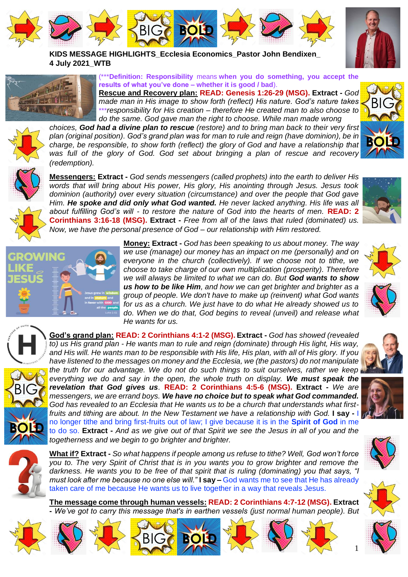

**KIDS MESSAGE HIGHLIGHTS\_Ecclesia Economics\_Pastor John Bendixen\_ 4 July 2021\_WTB**



(\*\*\***Definition: Responsibility** means **when you do something, you accept the results of what you've done – whether it is good / bad**).

**Rescue and Recovery plan: READ: Genesis 1:26-29 (MSG). Extract -** *God made man in His image to show forth (reflect) His nature. God's nature takes*  \*\*\**responsibility for His creation – therefore He created man to also choose to do the same. God gave man the right to choose. While man made wrong* 



*choices, God had a divine plan to rescue (restore) and to bring man back to their very first plan (original position). God's grand plan was for man to rule and reign (have dominion), be in charge, be responsible, to show forth (reflect) the glory of God and have a relationship that*  was full of the glory of God. God set about bringing a plan of rescue and recovery *(redemption).*



**Messengers: Extract -** *God sends messengers (called prophets) into the earth to deliver His words that will bring about His power, His glory, His anointing through Jesus. Jesus took dominion (authority) over every situation (circumstance) and over the people that God gave Him. He spoke and did only what God wanted. He never lacked anything. His life was all about fulfilling God's will - to restore the nature of God into the hearts of men.* **READ: 2 Corinthians 3:16-18 (MSG). Extract -** *Free from all of the laws that ruled (dominated) us. Now, we have the personal presence of God – our relationship with Him restored.* 



**Money: Extract -** *God has been speaking to us about money. The way we use (manage) our money has an impact on me (personally) and on everyone in the church (collectively). If we choose not to tithe, we choose to take charge of our own multiplication (prosperity). Therefore we will always be limited to what we can do. But God wants to show us how to be like Him, and how we can get brighter and brighter as a group of people. We don't have to make up (reinvent) what God wants for us as a church. We just have to do what He already showed us to do. When we do that, God begins to reveal (unveil) and release what He wants for us.*



BIG

**God's grand plan: READ: 2 Corinthians 4:1-2 (MSG). Extract -** *God has showed (revealed to) us His grand plan - He wants man to rule and reign (dominate) through His light, His way, and His will. He wants man to be responsible with His life, His plan, with all of His glory. If you have listened to the messages on money and the Ecclesia, we (the pastors) do not manipulate the truth for our advantage. We do not do such things to suit ourselves, rather we keep everything we do and say in the open, the whole truth on display. We must speak the revelation that God gives us.* **READ: 2 Corinthians 4:5-6 (MSG). Extract -** *We are messengers, we are errand boys. We have no choice but to speak what God commanded. God has revealed to an Ecclesia that He wants us to be a church that understands what firstfruits and tithing are about. In the New Testament we have a relationship with God.* **<b>I say -** I d no longer tithe and bring first-fruits out of law; I give because it is in the **Spirit of God** in me to do so. **Extract -** *And as we give out of that Spirit we see the Jesus in all of you and the togetherness and we begin to go brighter and brighter.* **BOLD**



















BIG

**BOLD**



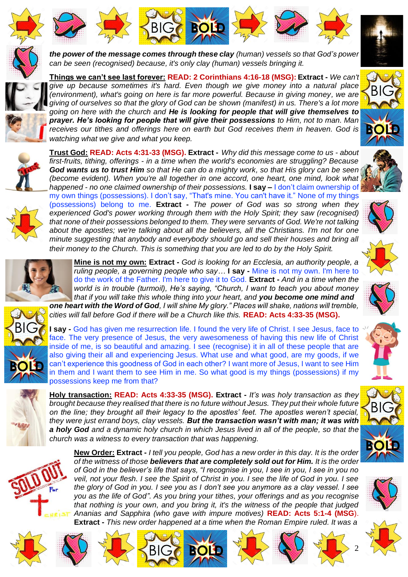





*can be seen (recognised) because, it's only clay (human) vessels bringing it.*





**Things we can't see last forever: READ: 2 Corinthians 4:16-18 (MSG): Extract -** *We can't give up because sometimes it's hard. Even though we give money into a natural place (environment), what's going on here is far more powerful. Because in giving money, we are giving of ourselves so that the glory of God can be shown (manifest) in us. There's a lot more going on here with the church and He is looking for people that will give themselves to prayer. He's looking for people that will give their possessions to Him, not to man. Man receives our tithes and offerings here on earth but God receives them in heaven. God is watching what we give and what you keep.* **BOLD**





**Trust God: READ: Acts 4:31-33 (MSG). Extract -** *Why did this message come to us - about first-fruits, tithing, offerings - in a time when the world's economies are struggling? Because God wants us to trust Him so that He can do a mighty work, so that His glory can be seen (become evident). When you're all together in one accord, one heart, one mind, look what happened - no one claimed ownership of their possessions.* **I say –** I don't claim ownership of my own things (possessions). I don't say, "That's mine. You can't have it." None of my things (possessions) belong to me. **Extract -** *The power of God was so strong when they experienced God's power working through them with the Holy Spirit; they saw (recognised) that none of their possessions belonged to them. They were servants of God. We're not talking about the apostles; we're talking about all the believers, all the Christians. I'm not for one minute suggesting that anybody and everybody should go and sell their houses and bring all their money to the Church. This is something that you are led to do by the Holy Spirit.*



**Mine is not my own: Extract -** *God is looking for an Ecclesia, an authority people, a ruling people, a governing people who say…* **I say -** Mine is not my own. I'm here to do the work of the Father. I'm here to give it to God. **Extract -** *And in a time when the world is in trouble (turmoil), He's saying, "Church, I want to teach you about money that if you will take this whole thing into your heart, and you become one mind and one heart with the Word of God, I will shine My glory." Places will shake, nations will tremble, cities will fall before God if there will be a Church like this.* **READ: Acts 4:33-35 (MSG).**



**I say -** God has given me resurrection life. I found the very life of Christ. I see Jesus, face to face. The very presence of Jesus, the very awesomeness of having this new life of Christ inside of me, is so beautiful and amazing. I see (recognise) it in all of these people that are also giving their all and experiencing Jesus. What use and what good, are my goods, if we can't experience this goodness of God in each other? I want more of Jesus, I want to see Him in them and I want them to see Him in me. So what good is my things (possessions) if my possessions keep me from that?

**Holy transaction: READ: Acts 4:33-35 (MSG). Extract -** *It's was holy transaction as they brought because they realised that there is no future without Jesus. They put their whole future on the line; they brought all their legacy to the apostles' feet. The apostles weren't special, they were just errand boys, clay vessels. But the transaction wasn't with man; it was with a holy God and a dynamic holy church in which Jesus lived in all of the people, so that the church was a witness to every transaction that was happening.*



**New Order: Extract -** *I tell you people, God has a new order in this day. It is the order of the witness of those believers that are completely sold out for Him. It is the order of God in the believer's life that says, "I recognise in you, I see in you, I see in you no veil, not your flesh. I see the Spirit of Christ in you. I see the life of God in you. I see the glory of God in you. I see you as I don't see you anymore as a clay vessel. I see you as the life of God". As you bring your tithes, your offerings and as you recognise that nothing is your own, and you bring it, it's the witness of the people that judged Ananias and Sapphira (who gave with impure motives)* **READ: Acts 5:1-4 (MSG**). **Extract -** *This new order happened at a time when the Roman Empire ruled. It was a* 

**BIG <b>BOLD** 



BIG













2